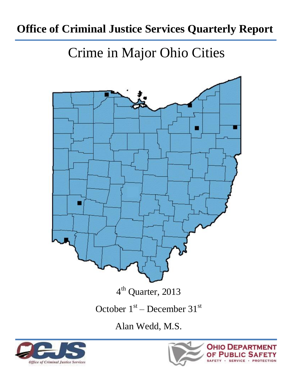# **Office of Criminal Justice Services Quarterly Report**

# Crime in Major Ohio Cities



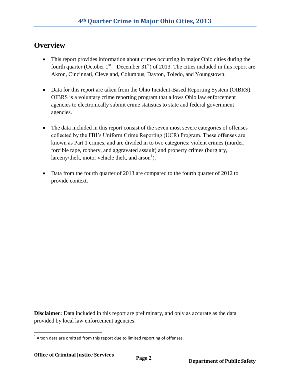#### **Overview**

- This report provides information about crimes occurring in major Ohio cities during the fourth quarter (October  $1<sup>st</sup>$  – December 31<sup>st</sup>) of 2013. The cities included in this report are Akron, Cincinnati, Cleveland, Columbus, Dayton, Toledo, and Youngstown.
- Data for this report are taken from the Ohio Incident-Based Reporting System (OIBRS). OIBRS is a voluntary crime reporting program that allows Ohio law enforcement agencies to electronically submit crime statistics to state and federal government agencies.
- The data included in this report consist of the seven most severe categories of offenses collected by the FBI's Uniform Crime Reporting (UCR) Program. These offenses are known as Part 1 crimes, and are divided in to two categories: violent crimes (murder, forcible rape, robbery, and aggravated assault) and property crimes (burglary, larceny/theft, motor vehicle theft, and  $arson<sup>1</sup>$ ).
- Data from the fourth quarter of 2013 are compared to the fourth quarter of 2012 to provide context.

**Disclaimer:** Data included in this report are preliminary, and only as accurate as the data provided by local law enforcement agencies.

 $\overline{\phantom{a}}$  $1$  Arson data are omitted from this report due to limited reporting of offenses.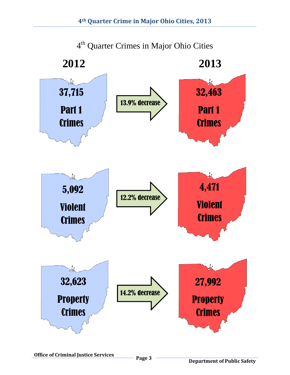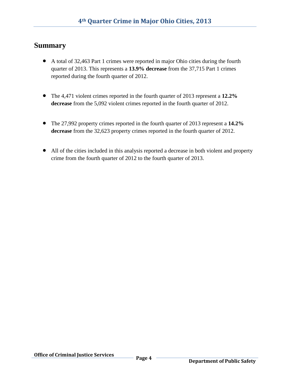#### **Summary**

- A total of 32,463 Part 1 crimes were reported in major Ohio cities during the fourth quarter of 2013. This represents a **13.9% decrease** from the 37,715 Part 1 crimes reported during the fourth quarter of 2012.
- The 4,471 violent crimes reported in the fourth quarter of 2013 represent a **12.2% decrease** from the 5,092 violent crimes reported in the fourth quarter of 2012.
- The 27,992 property crimes reported in the fourth quarter of 2013 represent a **14.2% decrease** from the 32,623 property crimes reported in the fourth quarter of 2012.
- All of the cities included in this analysis reported a decrease in both violent and property crime from the fourth quarter of 2012 to the fourth quarter of 2013.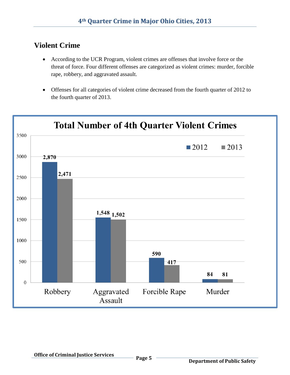### **Violent Crime**

- According to the UCR Program, violent crimes are offenses that involve force or the threat of force. Four different offenses are categorized as violent crimes: murder, forcible rape, robbery, and aggravated assault.
- Offenses for all categories of violent crime decreased from the fourth quarter of 2012 to the fourth quarter of 2013.

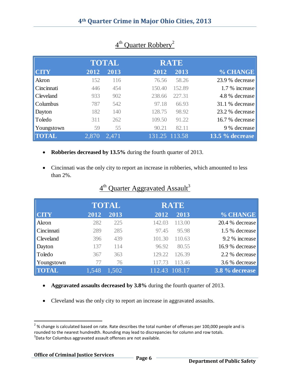|                  |       | <b>TOTAL</b> |        | <b>RATE</b>   |                 |
|------------------|-------|--------------|--------|---------------|-----------------|
| <b>CITY</b>      | 2012  | 2013         | 2012   | 2013          | % CHANGE        |
| Akron            | 152   | 116          | 76.56  | 58.26         | 23.9 % decrease |
| Cincinnati       | 446   | 454          | 150.40 | 152.89        | 1.7 % increase  |
| <b>Cleveland</b> | 933   | 902          | 238.66 | 227.31        | 4.8 % decrease  |
| <b>Columbus</b>  | 787   | 542          | 97.18  | 66.93         | 31.1 % decrease |
| Dayton           | 182   | 140          | 128.75 | 98.92         | 23.2 % decrease |
| Toledo           | 311   | 262          | 109.50 | 91.22         | 16.7 % decrease |
| Youngstown       | 59    | 55           | 90.21  | 82.11         | 9 % decrease    |
| <b>TOTAL</b>     | 2,870 | 2,471        |        | 131.25 113.58 | 13.5 % decrease |

#### 4<sup>th</sup> Quarter Robbery<sup>2</sup>

- **Robberies decreased by 13.5%** during the fourth quarter of 2013.
- Cincinnati was the only city to report an increase in robberies, which amounted to less than 2%.

|              |       | <b>TOTAL</b> |        | <b>RATE</b> |                 |
|--------------|-------|--------------|--------|-------------|-----------------|
| <b>CITY</b>  | 2012  | 2013         | 2012   | 2013        | % CHANGE        |
| Akron        | 282   | 225          | 142.03 | 113.00      | 20.4 % decrease |
| Cincinnati   | 289   | 285          | 97.45  | 95.98       | 1.5 % decrease  |
| Cleveland    | 396   | 439          | 101.30 | 110.63      | 9.2 % increase  |
| Dayton       | 137   | 114          | 96.92  | 80.55       | 16.9 % decrease |
| Toledo       | 367   | 363          | 129.22 | 126.39      | 2.2 % decrease  |
| Youngstown   | 77    | 76           |        | 113.46      | 3.6 % decrease  |
| <b>TOTAL</b> | 1.548 | 1.502        | 112.43 | 108.17      | 3.8 % decrease  |

#### 4<sup>th</sup> Quarter Aggravated Assault<sup>3</sup>

- **Aggravated assaults decreased by 3.8%** during the fourth quarter of 2013.
- Cleveland was the only city to report an increase in aggravated assaults.

 $\overline{\phantom{a}}$ 

 $^{2}$ % change is calculated based on rate. Rate describes the total number of offenses per 100,000 people and is rounded to the nearest hundredth. Rounding may lead to discrepancies for column and row totals.  $3$ Data for Columbus aggravated assault offenses are not available.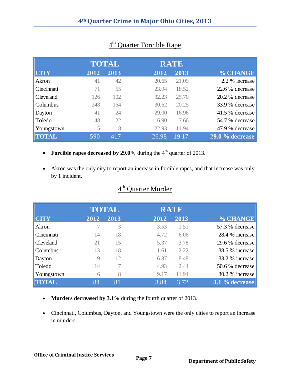|                  |      | <b>TOTAL</b> |       | <b>RATE</b> |                   |
|------------------|------|--------------|-------|-------------|-------------------|
| <b>CITY</b>      | 2012 | 2013         | 2012  | 2013        | % CHANGE          |
| Akron            | 41   | 42           | 20.65 | 21.09       | 2.2 % increase    |
| Cincinnati       | 71   | 55           | 23.94 | 18.52       | 22.6 % decrease   |
| <b>Cleveland</b> | 126  | 102          | 32.23 | 25.70       | 20.2 % decrease   |
| Columbus         | 248  | 164          | 30.62 | 20.25       | 33.9 % decrease   |
| Dayton           | 41   | 24           | 29.00 | 16.96       | 41.5 % decrease   |
| Toledo           | 48   | 22           | 16.90 | 7.66        | 54.7 % decrease   |
| Youngstown       | 15   | 8            | 22.93 | 11.94       | 47.9 % decrease   |
| <b>TOTAL</b>     | 590  | 417          | 26.98 | 19.17       | $29.0\%$ decrease |

#### 4<sup>th</sup> Quarter Forcible Rape

- Forcible rapes decreased by  $29.0\%$  during the  $4<sup>th</sup>$  quarter of 2013.
- Akron was the only city to report an increase in forcible rapes, and that increase was only by 1 incident.

#### 4<sup>th</sup> Quarter Murder

|              |      | <b>TOTAL</b> |      | <b>RATE</b> |                 |
|--------------|------|--------------|------|-------------|-----------------|
| <b>CITY</b>  | 2012 | 2013         | 2012 | 2013        | % CHANGE        |
| Akron        |      | 3            | 3.53 | 1.51        | 57.3 % decrease |
| Cincinnati   | 14   | 18           | 4.72 | 6.06        | 28.4 % increase |
| Cleveland    | 21   | 15           | 5.37 | 3.78        | 29.6 % decrease |
| Columbus     | 13   | 18           | 1.61 | 2.22        | 38.5 % increase |
| Dayton       | 9    | 12           | 6.37 | 8.48        | 33.2 % increase |
| Toledo       | 14   |              | 4.93 | 2.44        | 50.6 % decrease |
| Youngstown   | 6    | 8            | 9.17 | 11.94       | 30.2 % increase |
| <b>TOTAL</b> | 84   | 81           | 3.84 | 3.72        | 3.1 % decrease  |
|              |      |              |      |             |                 |

- **Murders decreased by 3.1%** during the fourth quarter of 2013.
- Cincinnati, Columbus, Dayton, and Youngstown were the only cities to report an increase in murders.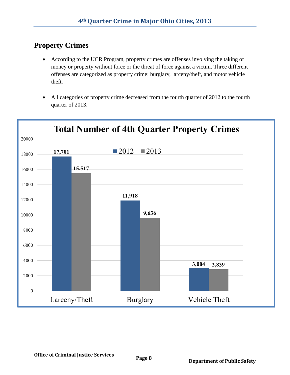# **Property Crimes**

- According to the UCR Program, property crimes are offenses involving the taking of money or property without force or the threat of force against a victim. Three different offenses are categorized as property crime: burglary, larceny/theft, and motor vehicle theft.
- All categories of property crime decreased from the fourth quarter of 2012 to the fourth quarter of 2013.

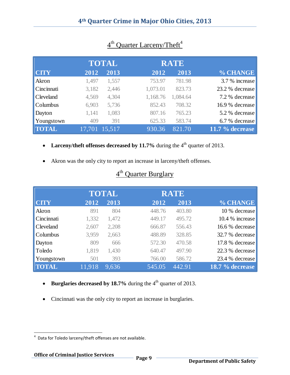|                  |       | <b>TOTAL</b>  |          | <b>RATE</b> |                   |
|------------------|-------|---------------|----------|-------------|-------------------|
| <b>CITY</b>      | 2012  | 2013          | 2012     | 2013        | % CHANGE          |
| Akron            | 1,497 | 1,557         | 753.97   | 781.98      | 3.7 % increase    |
| Cincinnati       | 3,182 | 2,446         | 1,073.01 | 823.73      | 23.2 % decrease   |
| <b>Cleveland</b> | 4,569 | 4,304         | 1,168.76 | 1,084.64    | 7.2 % decrease    |
| <b>Columbus</b>  | 6,903 | 5,736         | 852.43   | 708.32      | 16.9 % decrease   |
| Dayton           | 1,141 | 1,083         | 807.16   | 765.23      | 5.2 % decrease    |
| Youngstown       | 409   | 391           | 625.33   | 583.74      | 6.7 % decrease    |
| <b>TOTAL</b>     |       | 17,701 15,517 | 930.36   | 821.70      | $11.7\%$ decrease |

#### 4<sup>th</sup> Quarter Larceny/Theft<sup>4</sup>

- Larceny/theft offenses decreased by 11.7% during the 4<sup>th</sup> quarter of 2013.
- Akron was the only city to report an increase in larceny/theft offenses.

## 4<sup>th</sup> Quarter Burglary

|              |        | <b>TOTAL</b> |        | <b>RATE</b> |                 |
|--------------|--------|--------------|--------|-------------|-----------------|
| <b>CITY</b>  | 2012   | 2013         | 2012   | 2013        | % CHANGE        |
| Akron        | 891    | 804          | 448.76 | 403.80      | 10 % decrease   |
| Cincinnati   | 1,332  | 1,472        | 449.17 | 495.72      | 10.4 % increase |
| Cleveland    | 2,607  | 2,208        | 666.87 | 556.43      | 16.6 % decrease |
| Columbus     | 3,959  | 2,663        | 488.89 | 328.85      | 32.7 % decrease |
| Dayton       | 809    | 666          | 572.30 | 470.58      | 17.8 % decrease |
| Toledo       | 1,819  | 1,430        | 640.47 | 497.90      | 22.3 % decrease |
| Youngstown   | 501    | 393          | 766.00 | 586.72      | 23.4 % decrease |
| <b>TOTAL</b> | 11.918 | 9,636        | 545.05 | 442.91      | 18.7 % decrease |

- **Burglaries decreased by 18.7%** during the  $4<sup>th</sup>$  quarter of 2013.
- Cincinnati was the only city to report an increase in burglaries.

 4 Data for Toledo larceny/theft offenses are not available.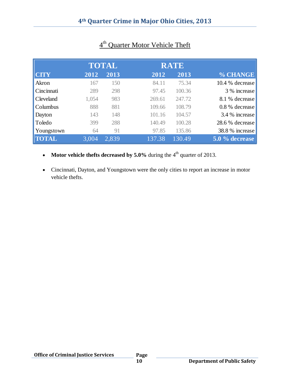|              |       | <b>TOTAL</b> |        | <b>RATE</b> |                 |
|--------------|-------|--------------|--------|-------------|-----------------|
| <b>CTY</b>   | 2012  | 2013         | 2012   | 2013        | % CHANGE        |
| Akron        | 167   | 150          | 84.11  | 75.34       | 10.4 % decrease |
| Cincinnati   | 289   | 298          | 97.45  | 100.36      | 3 % increase    |
| Cleveland    | 1,054 | 983          | 269.61 | 247.72      | 8.1 % decrease  |
| Columbus     | 888   | 881          | 109.66 | 108.79      | 0.8 % decrease  |
| Dayton       | 143   | 148          | 101.16 | 104.57      | 3.4 % increase  |
| Toledo       | 399   | 288          | 140.49 | 100.28      | 28.6 % decrease |
| Youngstown   | 64    | 91           | 97.85  | 135.86      | 38.8 % increase |
| <b>TOTAL</b> | 3,004 | 2,839        | 137.38 | 130.49      | 5.0 % decrease  |

#### 4<sup>th</sup> Quarter Motor Vehicle Theft

- **Motor vehicle thefts decreased by 5.0%** during the 4<sup>th</sup> quarter of 2013.
- Cincinnati, Dayton, and Youngstown were the only cities to report an increase in motor vehicle thefts.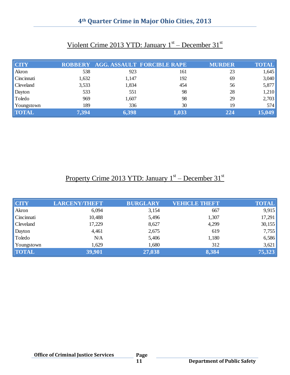#### **4th Quarter Crime in Major Ohio Cities, 2013**

| <b>CITY</b>  |       |       | ROBBERY AGG. ASSAULT FORCIBLE RAPE | <b>MURDER</b> | <b>TOTAL</b> |
|--------------|-------|-------|------------------------------------|---------------|--------------|
| Akron        | 538   | 923   | 161                                | 23            | 1,645        |
| Cincinnati   | 1,632 | 1,147 | 192                                | 69            | 3,040        |
| Cleveland    | 3,533 | 1,834 | 454                                | 56            | 5,877        |
| Dayton       | 533   | 551   | 98                                 | 28            | 1,210        |
| Toledo       | 969   | 1,607 | 98                                 | 29            | 2,703        |
| Youngstown   | 189   | 336   | 30                                 | 19            | 574          |
| <b>TOTAL</b> | 7,394 | 6,398 | 1,033                              | 224           | 15,049       |

#### Violent Crime 2013 YTD: January 1<sup>st</sup> – December 31<sup>st</sup>

#### Property Crime 2013 YTD: January 1<sup>st</sup> – December 31<sup>st</sup>

| <b>CITY</b>      | <b>LARCENY/THEFT</b> | <b>BURGLARY</b> | <b>VEHICLE THEFT</b> | <b>TOTAL</b> |
|------------------|----------------------|-----------------|----------------------|--------------|
| Akron            | 6,094                | 3,154           | 667                  | 9,915        |
| Cincinnati       | 10,488               | 5,496           | 1,307                | 17,291       |
| <b>Cleveland</b> | 17,229               | 8,627           | 4,299                | 30,155       |
| Dayton           | 4,461                | 2,675           | 619                  | 7,755        |
| Toledo           | N/A                  | 5,406           | 1,180                | 6,586        |
| Youngstown       | 1,629                | 1,680           | 312                  | 3,621        |
| <b>TOTAL</b>     | 39,901               | 27,038          | 8,384                | 75,323       |